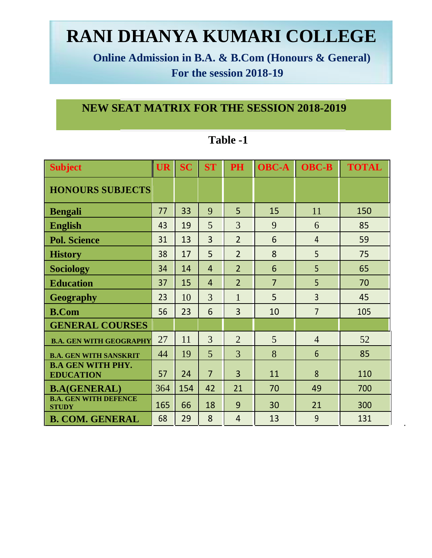# **RANI DHANYA KUMARI COLLEGE**

**Online Admission in B.A. & B.Com (Honours & General) For the session 2018-19**

### **NEW SEAT MATRIX FOR THE SESSION 2018-2019**

| <b>Subject</b>                               | UR  | <b>SC</b> | <b>ST</b>      | <b>PH</b>      | <b>OBC-A</b>   | <b>OBC-B</b>   | <b>TOTAL</b> |
|----------------------------------------------|-----|-----------|----------------|----------------|----------------|----------------|--------------|
| <b>HONOURS SUBJECTS</b>                      |     |           |                |                |                |                |              |
| <b>Bengali</b>                               | 77  | 33        | 9              | 5              | 15             | 11             | 150          |
| <b>English</b>                               | 43  | 19        | 5              | 3              | 9              | 6              | 85           |
| <b>Pol. Science</b>                          | 31  | 13        | $\overline{3}$ | $\overline{2}$ | 6              | $\overline{4}$ | 59           |
| <b>History</b>                               | 38  | 17        | 5              | $\overline{2}$ | 8              | 5              | 75           |
| <b>Sociology</b>                             | 34  | 14        | $\overline{4}$ | $\overline{2}$ | 6              | 5              | 65           |
| <b>Education</b>                             | 37  | 15        | $\overline{4}$ | $\overline{2}$ | $\overline{7}$ | 5              | 70           |
| <b>Geography</b>                             | 23  | 10        | 3              | 1              | 5              | $\overline{3}$ | 45           |
| <b>B.Com</b>                                 | 56  | 23        | 6              | 3              | 10             | $\overline{7}$ | 105          |
| <b>GENERAL COURSES</b>                       |     |           |                |                |                |                |              |
| <b>B.A. GEN WITH GEOGRAPHY</b>               | 27  | 11        | 3              | $\overline{2}$ | 5              | $\overline{4}$ | 52           |
| <b>B.A. GEN WITH SANSKRIT</b>                | 44  | 19        | 5              | 3              | 8              | 6              | 85           |
| <b>B.A GEN WITH PHY.</b><br><b>EDUCATION</b> | 57  | 24        | $\overline{7}$ | $\overline{3}$ | 11             | 8              | 110          |
| <b>B.A(GENERAL)</b>                          | 364 | 154       | 42             | 21             | 70             | 49             | 700          |
| <b>B.A. GEN WITH DEFENCE</b><br><b>STUDY</b> | 165 | 66        | 18             | 9              | 30             | 21             | 300          |
| <b>B. COM. GENERAL</b>                       | 68  | 29        | 8              | $\overline{4}$ | 13             | 9              | 131          |

#### **Table -1**